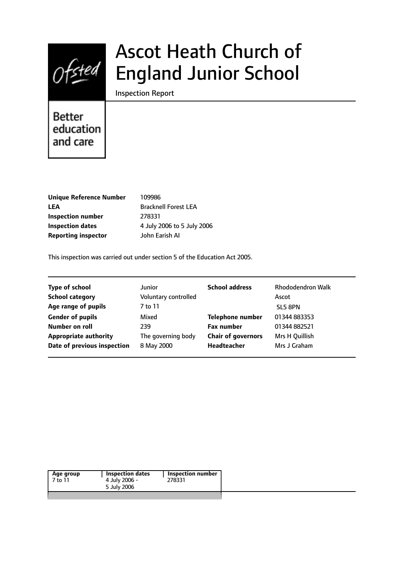

# Ascot Heath Church of England Junior School

Inspection Report

# **Better** education and care

| <b>Unique Reference Number</b> |
|--------------------------------|
| LEA                            |
| Inspection number              |
| <b>Inspection dates</b>        |
| <b>Reporting inspector</b>     |

**Unique Reference Number** 109986 **LEA** Bracknell Forest LEA **Inspection number** 278331 **Inspection dates** 4 July 2006 to 5 July 2006 **Reporting inspector** John Earish AI

This inspection was carried out under section 5 of the Education Act 2005.

| <b>Type of school</b>        | <b>Junior</b>        | <b>School address</b>     | <b>Rhododendron Walk</b> |
|------------------------------|----------------------|---------------------------|--------------------------|
| <b>School category</b>       | Voluntary controlled |                           | Ascot                    |
| Age range of pupils          | 7 to 11              |                           | SL5 8PN                  |
| <b>Gender of pupils</b>      | Mixed                | <b>Telephone number</b>   | 01344 883353             |
| Number on roll               | 239                  | <b>Fax number</b>         | 01344 882521             |
| <b>Appropriate authority</b> | The governing body   | <b>Chair of governors</b> | Mrs H Quillish           |
| Date of previous inspection  | 8 May 2000           | Headteacher               | Mrs J Graham             |
|                              |                      |                           |                          |

| Inspection dates | Inspection number |
|------------------|-------------------|
| 4 July 2006 -    | 278331            |
| 5 July 2006      |                   |
|                  |                   |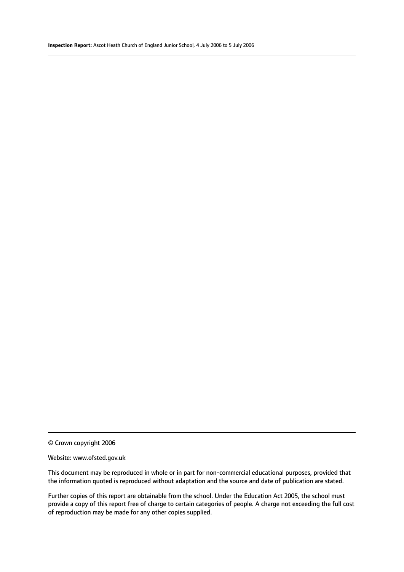© Crown copyright 2006

#### Website: www.ofsted.gov.uk

This document may be reproduced in whole or in part for non-commercial educational purposes, provided that the information quoted is reproduced without adaptation and the source and date of publication are stated.

Further copies of this report are obtainable from the school. Under the Education Act 2005, the school must provide a copy of this report free of charge to certain categories of people. A charge not exceeding the full cost of reproduction may be made for any other copies supplied.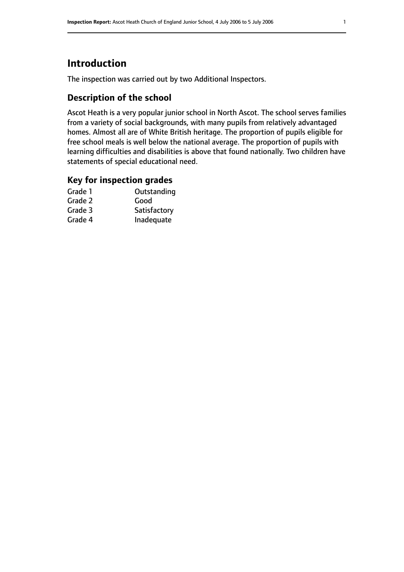# **Introduction**

The inspection was carried out by two Additional Inspectors.

# **Description of the school**

Ascot Heath is a very popular junior school in North Ascot. The school serves families from a variety of social backgrounds, with many pupils from relatively advantaged homes. Almost all are of White British heritage. The proportion of pupils eligible for free school meals is well below the national average. The proportion of pupils with learning difficulties and disabilities is above that found nationally. Two children have statements of special educational need.

### **Key for inspection grades**

| Outstanding  |
|--------------|
| Good         |
| Satisfactory |
| Inadequate   |
|              |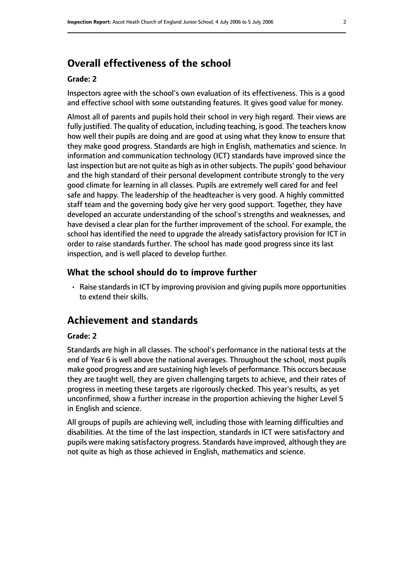# **Overall effectiveness of the school**

#### **Grade: 2**

Inspectors agree with the school's own evaluation of its effectiveness. This is a good and effective school with some outstanding features. It gives good value for money.

Almost all of parents and pupils hold their school in very high regard. Their views are fully justified. The quality of education, including teaching, is good. The teachers know how well their pupils are doing and are good at using what they know to ensure that they make good progress. Standards are high in English, mathematics and science. In information and communication technology (ICT) standards have improved since the last inspection but are not quite as high as in other subjects. The pupils' good behaviour and the high standard of their personal development contribute strongly to the very good climate for learning in all classes. Pupils are extremely well cared for and feel safe and happy. The leadership of the headteacher is very good. A highly committed staff team and the governing body give her very good support. Together, they have developed an accurate understanding of the school's strengths and weaknesses, and have devised a clear plan for the further improvement of the school. For example, the school has identified the need to upgrade the already satisfactory provision for ICT in order to raise standards further. The school has made good progress since its last inspection, and is well placed to develop further.

#### **What the school should do to improve further**

• Raise standards in ICT by improving provision and giving pupils more opportunities to extend their skills.

# **Achievement and standards**

#### **Grade: 2**

Standards are high in all classes. The school's performance in the national tests at the end of Year 6 is well above the national averages. Throughout the school, most pupils make good progress and are sustaining high levels of performance. This occurs because they are taught well, they are given challenging targets to achieve, and their rates of progress in meeting these targets are rigorously checked. This year's results, as yet unconfirmed, show a further increase in the proportion achieving the higher Level 5 in English and science.

All groups of pupils are achieving well, including those with learning difficulties and disabilities. At the time of the last inspection, standards in ICT were satisfactory and pupils were making satisfactory progress. Standards have improved, although they are not quite as high as those achieved in English, mathematics and science.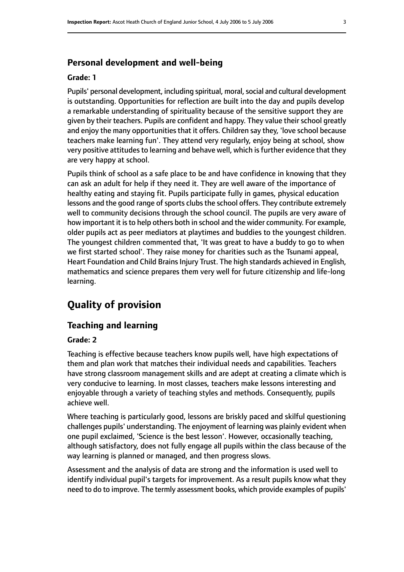#### **Personal development and well-being**

#### **Grade: 1**

Pupils' personal development, including spiritual, moral, social and cultural development is outstanding. Opportunities for reflection are built into the day and pupils develop a remarkable understanding of spirituality because of the sensitive support they are given by their teachers. Pupils are confident and happy. They value their school greatly and enjoy the many opportunities that it offers. Children say they, 'love school because teachers make learning fun'. They attend very regularly, enjoy being at school, show very positive attitudes to learning and behave well, which is further evidence that they are very happy at school.

Pupils think of school as a safe place to be and have confidence in knowing that they can ask an adult for help if they need it. They are well aware of the importance of healthy eating and staying fit. Pupils participate fully in games, physical education lessons and the good range of sports clubs the school offers. They contribute extremely well to community decisions through the school council. The pupils are very aware of how important it is to help others both in school and the wider community. For example, older pupils act as peer mediators at playtimes and buddies to the youngest children. The youngest children commented that, 'It was great to have a buddy to go to when we first started school'. They raise money for charities such as the Tsunami appeal, Heart Foundation and Child Brains Injury Trust. The high standards achieved in English, mathematics and science prepares them very well for future citizenship and life-long learning.

# **Quality of provision**

#### **Teaching and learning**

#### **Grade: 2**

Teaching is effective because teachers know pupils well, have high expectations of them and plan work that matches their individual needs and capabilities. Teachers have strong classroom management skills and are adept at creating a climate which is very conducive to learning. In most classes, teachers make lessons interesting and enjoyable through a variety of teaching styles and methods. Consequently, pupils achieve well.

Where teaching is particularly good, lessons are briskly paced and skilful questioning challenges pupils' understanding. The enjoyment of learning was plainly evident when one pupil exclaimed, 'Science is the best lesson'. However, occasionally teaching, although satisfactory, does not fully engage all pupils within the class because of the way learning is planned or managed, and then progress slows.

Assessment and the analysis of data are strong and the information is used well to identify individual pupil's targets for improvement. As a result pupils know what they need to do to improve. The termly assessment books, which provide examples of pupils'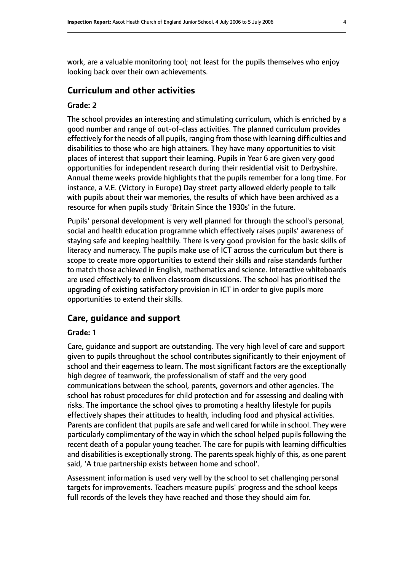work, are a valuable monitoring tool; not least for the pupils themselves who enjoy looking back over their own achievements.

#### **Curriculum and other activities**

#### **Grade: 2**

The school provides an interesting and stimulating curriculum, which is enriched by a good number and range of out-of-class activities. The planned curriculum provides effectively for the needs of all pupils, ranging from those with learning difficulties and disabilities to those who are high attainers. They have many opportunities to visit places of interest that support their learning. Pupils in Year 6 are given very good opportunities for independent research during their residential visit to Derbyshire. Annual theme weeks provide highlights that the pupils remember for a long time. For instance, a V.E. (Victory in Europe) Day street party allowed elderly people to talk with pupils about their war memories, the results of which have been archived as a resource for when pupils study 'Britain Since the 1930s' in the future.

Pupils' personal development is very well planned for through the school's personal, social and health education programme which effectively raises pupils' awareness of staying safe and keeping healthily. There is very good provision for the basic skills of literacy and numeracy. The pupils make use of ICT across the curriculum but there is scope to create more opportunities to extend their skills and raise standards further to match those achieved in English, mathematics and science. Interactive whiteboards are used effectively to enliven classroom discussions. The school has prioritised the upgrading of existing satisfactory provision in ICT in order to give pupils more opportunities to extend their skills.

#### **Care, guidance and support**

#### **Grade: 1**

Care, guidance and support are outstanding. The very high level of care and support given to pupils throughout the school contributes significantly to their enjoyment of school and their eagerness to learn. The most significant factors are the exceptionally high degree of teamwork, the professionalism of staff and the very good communications between the school, parents, governors and other agencies. The school has robust procedures for child protection and for assessing and dealing with risks. The importance the school gives to promoting a healthy lifestyle for pupils effectively shapes their attitudes to health, including food and physical activities. Parents are confident that pupils are safe and well cared for while in school. They were particularly complimentary of the way in which the school helped pupils following the recent death of a popular young teacher. The care for pupils with learning difficulties and disabilities is exceptionally strong. The parents speak highly of this, as one parent said, 'A true partnership exists between home and school'.

Assessment information is used very well by the school to set challenging personal targets for improvements. Teachers measure pupils' progress and the school keeps full records of the levels they have reached and those they should aim for.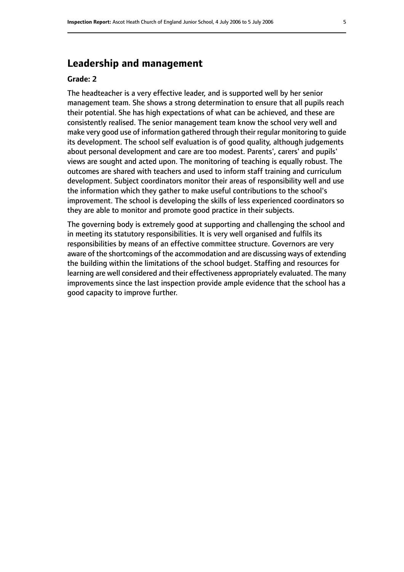# **Leadership and management**

#### **Grade: 2**

The headteacher is a very effective leader, and is supported well by her senior management team. She shows a strong determination to ensure that all pupils reach their potential. She has high expectations of what can be achieved, and these are consistently realised. The senior management team know the school very well and make very good use of information gathered through their regular monitoring to guide its development. The school self evaluation is of good quality, although judgements about personal development and care are too modest. Parents', carers' and pupils' views are sought and acted upon. The monitoring of teaching is equally robust. The outcomes are shared with teachers and used to inform staff training and curriculum development. Subject coordinators monitor their areas of responsibility well and use the information which they gather to make useful contributions to the school's improvement. The school is developing the skills of less experienced coordinators so they are able to monitor and promote good practice in their subjects.

The governing body is extremely good at supporting and challenging the school and in meeting its statutory responsibilities. It is very well organised and fulfils its responsibilities by means of an effective committee structure. Governors are very aware of the shortcomings of the accommodation and are discussing ways of extending the building within the limitations of the school budget. Staffing and resources for learning are well considered and their effectiveness appropriately evaluated. The many improvements since the last inspection provide ample evidence that the school has a good capacity to improve further.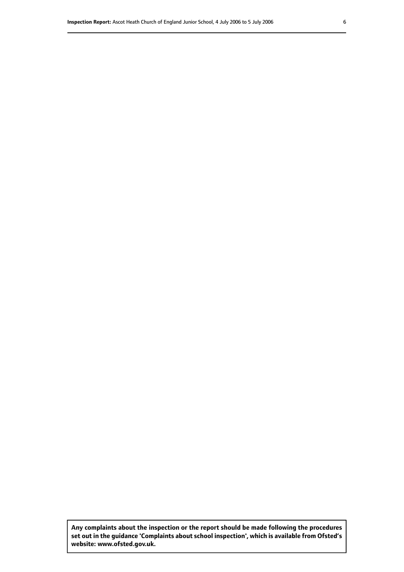**Any complaints about the inspection or the report should be made following the procedures set out inthe guidance 'Complaints about school inspection', whichis available from Ofsted's website: www.ofsted.gov.uk.**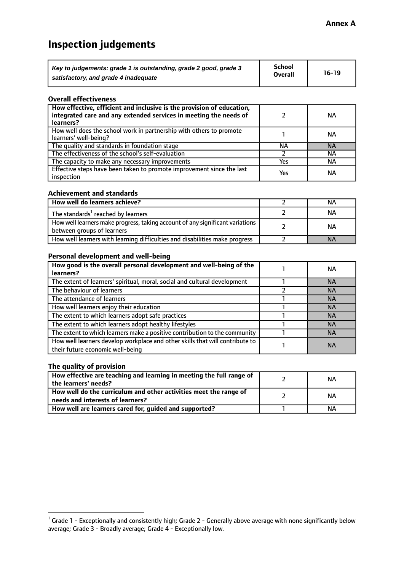# **Inspection judgements**

| Key to judgements: grade 1 is outstanding, grade 2 good, grade 3 | <b>School</b>  | $16-19$ |
|------------------------------------------------------------------|----------------|---------|
| satisfactory, and grade 4 inadequate                             | <b>Overall</b> |         |

#### **Overall effectiveness**

| How effective, efficient and inclusive is the provision of education,<br>integrated care and any extended services in meeting the needs of<br>learners? |     | <b>NA</b> |
|---------------------------------------------------------------------------------------------------------------------------------------------------------|-----|-----------|
| How well does the school work in partnership with others to promote<br>learners' well-being?                                                            |     | ΝA        |
| The quality and standards in foundation stage                                                                                                           | ΝA  | <b>NA</b> |
| The effectiveness of the school's self-evaluation                                                                                                       |     | ΝA        |
| The capacity to make any necessary improvements                                                                                                         | Yes | NА        |
| Effective steps have been taken to promote improvement since the last<br>inspection                                                                     | Yes | <b>NA</b> |

#### **Achievement and standards**

| How well do learners achieve?                                                                               | ΝA        |
|-------------------------------------------------------------------------------------------------------------|-----------|
| The standards <sup>1</sup> reached by learners                                                              | NА        |
| How well learners make progress, taking account of any significant variations<br>between groups of learners | <b>NA</b> |
| How well learners with learning difficulties and disabilities make progress                                 | <b>NA</b> |

#### **Personal development and well-being**

| How good is the overall personal development and well-being of the<br>learners?                                  | ΝA        |
|------------------------------------------------------------------------------------------------------------------|-----------|
| The extent of learners' spiritual, moral, social and cultural development                                        | <b>NA</b> |
| The behaviour of learners                                                                                        | <b>NA</b> |
| The attendance of learners                                                                                       | <b>NA</b> |
| How well learners enjoy their education                                                                          | <b>NA</b> |
| The extent to which learners adopt safe practices                                                                | <b>NA</b> |
| The extent to which learners adopt healthy lifestyles                                                            | <b>NA</b> |
| The extent to which learners make a positive contribution to the community                                       | <b>NA</b> |
| How well learners develop workplace and other skills that will contribute to<br>their future economic well-being | <b>NA</b> |

### **The quality of provision**

| How effective are teaching and learning in meeting the full range of<br>the learners' needs?          | ΝA |
|-------------------------------------------------------------------------------------------------------|----|
| How well do the curriculum and other activities meet the range of<br>needs and interests of learners? | ΝA |
| How well are learners cared for, guided and supported?                                                | NА |

 $^1$  Grade 1 - Exceptionally and consistently high; Grade 2 - Generally above average with none significantly below average; Grade 3 - Broadly average; Grade 4 - Exceptionally low.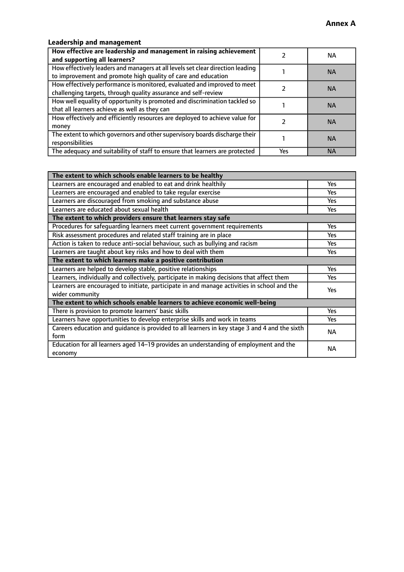# **Leadership and management**

| How effective are leadership and management in raising achievement<br>and supporting all learners?                                              |     | NA.       |
|-------------------------------------------------------------------------------------------------------------------------------------------------|-----|-----------|
| How effectively leaders and managers at all levels set clear direction leading<br>to improvement and promote high quality of care and education |     | <b>NA</b> |
| How effectively performance is monitored, evaluated and improved to meet<br>challenging targets, through quality assurance and self-review      |     | <b>NA</b> |
| How well equality of opportunity is promoted and discrimination tackled so<br>that all learners achieve as well as they can                     |     | <b>NA</b> |
| How effectively and efficiently resources are deployed to achieve value for<br>money                                                            |     | <b>NA</b> |
| The extent to which governors and other supervisory boards discharge their<br>responsibilities                                                  |     | <b>NA</b> |
| The adequacy and suitability of staff to ensure that learners are protected                                                                     | Yes | <b>NA</b> |

| The extent to which schools enable learners to be healthy                                     |            |  |
|-----------------------------------------------------------------------------------------------|------------|--|
| Learners are encouraged and enabled to eat and drink healthily                                | Yes        |  |
| Learners are encouraged and enabled to take regular exercise                                  | Yes        |  |
| Learners are discouraged from smoking and substance abuse                                     | <b>Yes</b> |  |
| Learners are educated about sexual health                                                     | <b>Yes</b> |  |
| The extent to which providers ensure that learners stay safe                                  |            |  |
| Procedures for safequarding learners meet current government requirements                     | Yes        |  |
| Risk assessment procedures and related staff training are in place                            | Yes        |  |
| Action is taken to reduce anti-social behaviour, such as bullying and racism                  | Yes        |  |
| Learners are taught about key risks and how to deal with them                                 | <b>Yes</b> |  |
| The extent to which learners make a positive contribution                                     |            |  |
| Learners are helped to develop stable, positive relationships                                 | Yes        |  |
| Learners, individually and collectively, participate in making decisions that affect them     | Yes        |  |
| Learners are encouraged to initiate, participate in and manage activities in school and the   |            |  |
| wider community                                                                               | <b>Yes</b> |  |
| The extent to which schools enable learners to achieve economic well-being                    |            |  |
| There is provision to promote learners' basic skills                                          | Yes        |  |
| Learners have opportunities to develop enterprise skills and work in teams                    | <b>Yes</b> |  |
| Careers education and guidance is provided to all learners in key stage 3 and 4 and the sixth | <b>NA</b>  |  |
| form                                                                                          |            |  |
| Education for all learners aged 14-19 provides an understanding of employment and the         | NА         |  |
| economy                                                                                       |            |  |